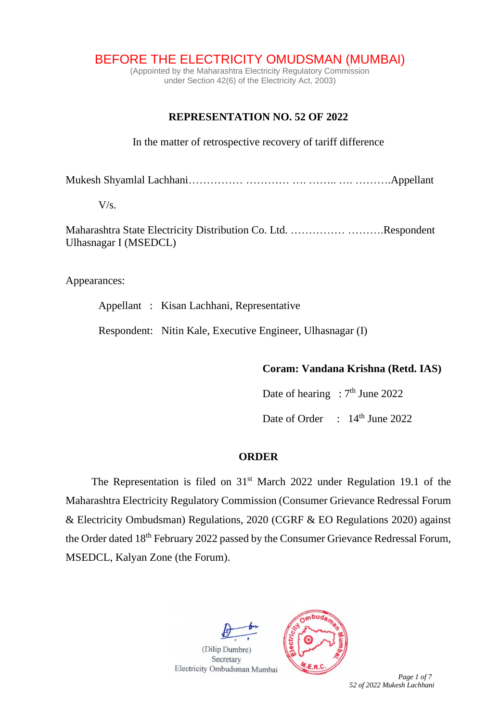BEFORE THE ELECTRICITY OMUDSMAN (MUMBAI)

(Appointed by the Maharashtra Electricity Regulatory Commission under Section 42(6) of the Electricity Act, 2003)

## **REPRESENTATION NO. 52 OF 2022**

In the matter of retrospective recovery of tariff difference

Mukesh Shyamlal Lachhani…………… ………… …. …….. …. ……….Appellant

 $V/s$ .

Maharashtra State Electricity Distribution Co. Ltd. …………… ……….Respondent Ulhasnagar I (MSEDCL)

Appearances:

Appellant : Kisan Lachhani, Representative

Respondent: Nitin Kale, Executive Engineer, Ulhasnagar (I)

## **Coram: Vandana Krishna (Retd. IAS)**

Date of hearing :  $7<sup>th</sup>$  June 2022

Date of Order : 14<sup>th</sup> June 2022

## **ORDER**

The Representation is filed on  $31<sup>st</sup>$  March 2022 under Regulation 19.1 of the Maharashtra Electricity Regulatory Commission (Consumer Grievance Redressal Forum & Electricity Ombudsman) Regulations, 2020 (CGRF & EO Regulations 2020) against the Order dated 18<sup>th</sup> February 2022 passed by the Consumer Grievance Redressal Forum, MSEDCL, Kalyan Zone (the Forum).



(Dilip Dumbre) Secretary



 *Page 1 of 7 52 of 2022 Mukesh Lachhani*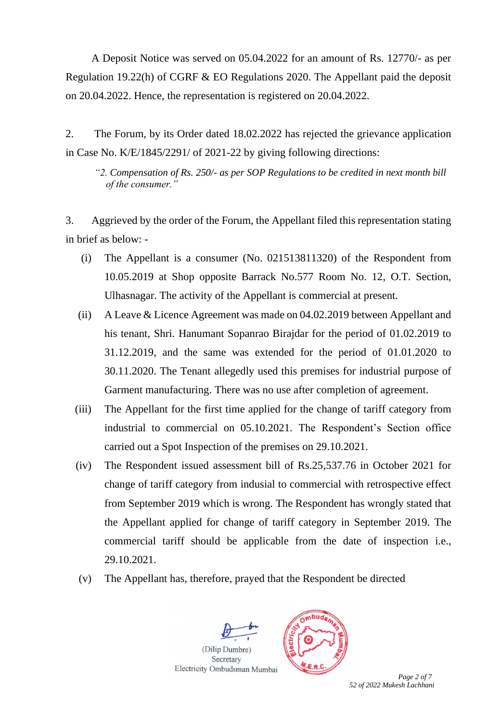A Deposit Notice was served on 05.04.2022 for an amount of Rs. 12770/- as per Regulation 19.22(h) of CGRF & EO Regulations 2020. The Appellant paid the deposit on 20.04.2022. Hence, the representation is registered on 20.04.2022.

2. The Forum, by its Order dated 18.02.2022 has rejected the grievance application in Case No. K/E/1845/2291/ of 2021-22 by giving following directions:

*"2. Compensation of Rs. 250/- as per SOP Regulations to be credited in next month bill of the consumer."*

3. Aggrieved by the order of the Forum, the Appellant filed this representation stating in brief as below: -

- (i) The Appellant is a consumer (No. 021513811320) of the Respondent from 10.05.2019 at Shop opposite Barrack No.577 Room No. 12, O.T. Section, Ulhasnagar. The activity of the Appellant is commercial at present.
- (ii) A Leave & Licence Agreement was made on 04.02.2019 between Appellant and his tenant, Shri. Hanumant Sopanrao Birajdar for the period of 01.02.2019 to 31.12.2019, and the same was extended for the period of 01.01.2020 to 30.11.2020. The Tenant allegedly used this premises for industrial purpose of Garment manufacturing. There was no use after completion of agreement.
- (iii) The Appellant for the first time applied for the change of tariff category from industrial to commercial on 05.10.2021. The Respondent's Section office carried out a Spot Inspection of the premises on 29.10.2021.
- (iv) The Respondent issued assessment bill of Rs.25,537.76 in October 2021 for change of tariff category from indusial to commercial with retrospective effect from September 2019 which is wrong. The Respondent has wrongly stated that the Appellant applied for change of tariff category in September 2019. The commercial tariff should be applicable from the date of inspection i.e., 29.10.2021.
- (v) The Appellant has, therefore, prayed that the Respondent be directed





 *Page 2 of 7 52 of 2022 Mukesh Lachhani*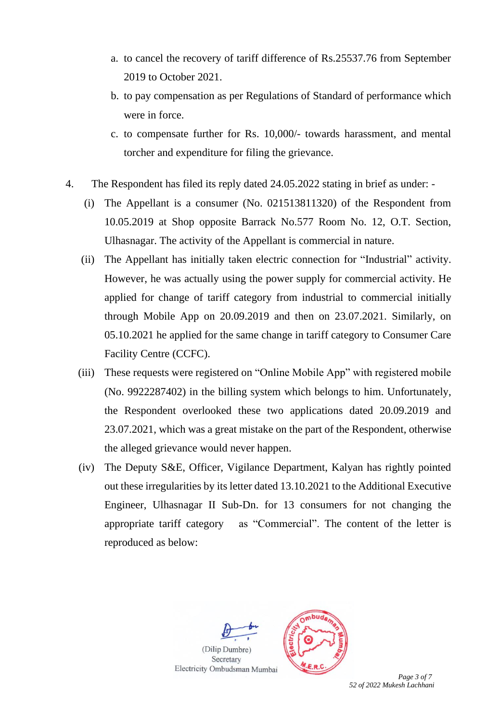- a. to cancel the recovery of tariff difference of Rs.25537.76 from September 2019 to October 2021.
- b. to pay compensation as per Regulations of Standard of performance which were in force.
- c. to compensate further for Rs. 10,000/- towards harassment, and mental torcher and expenditure for filing the grievance.
- 4. The Respondent has filed its reply dated 24.05.2022 stating in brief as under:
	- (i) The Appellant is a consumer (No. 021513811320) of the Respondent from 10.05.2019 at Shop opposite Barrack No.577 Room No. 12, O.T. Section, Ulhasnagar. The activity of the Appellant is commercial in nature.
	- (ii) The Appellant has initially taken electric connection for "Industrial" activity. However, he was actually using the power supply for commercial activity. He applied for change of tariff category from industrial to commercial initially through Mobile App on 20.09.2019 and then on 23.07.2021. Similarly, on 05.10.2021 he applied for the same change in tariff category to Consumer Care Facility Centre (CCFC).
	- (iii) These requests were registered on "Online Mobile App" with registered mobile (No. 9922287402) in the billing system which belongs to him. Unfortunately, the Respondent overlooked these two applications dated 20.09.2019 and 23.07.2021, which was a great mistake on the part of the Respondent, otherwise the alleged grievance would never happen.
	- (iv) The Deputy S&E, Officer, Vigilance Department, Kalyan has rightly pointed out these irregularities by its letter dated 13.10.2021 to the Additional Executive Engineer, Ulhasnagar II Sub-Dn. for 13 consumers for not changing the appropriate tariff category as "Commercial". The content of the letter is reproduced as below:





 *Page 3 of 7 52 of 2022 Mukesh Lachhani*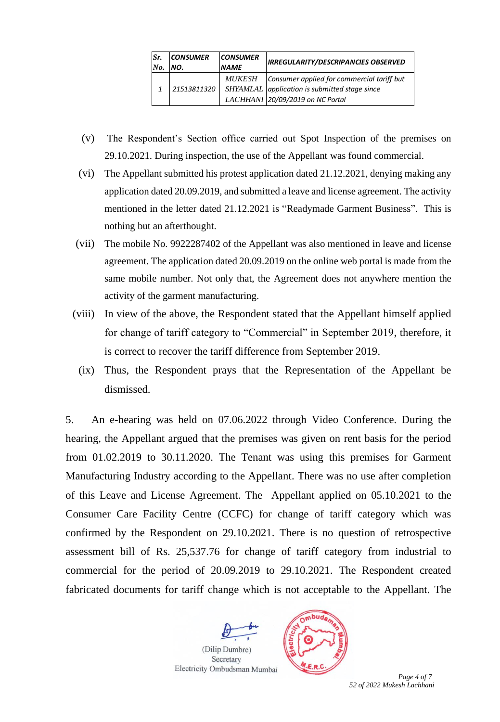| Sr. | <b>CONSUMER</b> | <b>CONSUMER</b> | <b>IRREGULARITY/DESCRIPANCIES OBSERVED</b>                                                                                      |  |
|-----|-----------------|-----------------|---------------------------------------------------------------------------------------------------------------------------------|--|
| No. | NO.             | <b>NAME</b>     |                                                                                                                                 |  |
|     | 21513811320     | <i>MUKESH</i>   | Consumer applied for commercial tariff but<br>SHYAMLAL application is submitted stage since<br>LACHHANI 20/09/2019 on NC Portal |  |

- (v) The Respondent's Section office carried out Spot Inspection of the premises on 29.10.2021. During inspection, the use of the Appellant was found commercial.
- (vi) The Appellant submitted his protest application dated 21.12.2021, denying making any application dated 20.09.2019, and submitted a leave and license agreement. The activity mentioned in the letter dated 21.12.2021 is "Readymade Garment Business". This is nothing but an afterthought.
- (vii) The mobile No. 9922287402 of the Appellant was also mentioned in leave and license agreement. The application dated 20.09.2019 on the online web portal is made from the same mobile number. Not only that, the Agreement does not anywhere mention the activity of the garment manufacturing.
- (viii) In view of the above, the Respondent stated that the Appellant himself applied for change of tariff category to "Commercial" in September 2019, therefore, it is correct to recover the tariff difference from September 2019.
- (ix) Thus, the Respondent prays that the Representation of the Appellant be dismissed.

5. An e-hearing was held on 07.06.2022 through Video Conference. During the hearing, the Appellant argued that the premises was given on rent basis for the period from 01.02.2019 to 30.11.2020. The Tenant was using this premises for Garment Manufacturing Industry according to the Appellant. There was no use after completion of this Leave and License Agreement. The Appellant applied on 05.10.2021 to the Consumer Care Facility Centre (CCFC) for change of tariff category which was confirmed by the Respondent on 29.10.2021. There is no question of retrospective assessment bill of Rs. 25,537.76 for change of tariff category from industrial to commercial for the period of 20.09.2019 to 29.10.2021. The Respondent created fabricated documents for tariff change which is not acceptable to the Appellant. The



 *Page 4 of 7 52 of 2022 Mukesh Lachhani*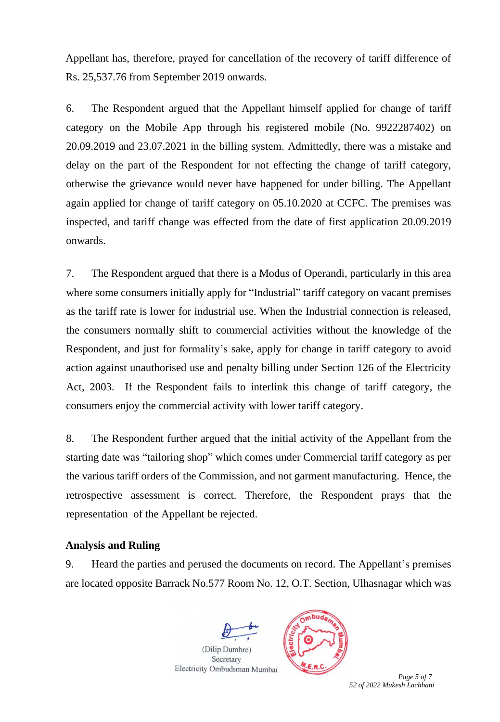Appellant has, therefore, prayed for cancellation of the recovery of tariff difference of Rs. 25,537.76 from September 2019 onwards.

6. The Respondent argued that the Appellant himself applied for change of tariff category on the Mobile App through his registered mobile (No. 9922287402) on 20.09.2019 and 23.07.2021 in the billing system. Admittedly, there was a mistake and delay on the part of the Respondent for not effecting the change of tariff category, otherwise the grievance would never have happened for under billing. The Appellant again applied for change of tariff category on 05.10.2020 at CCFC. The premises was inspected, and tariff change was effected from the date of first application 20.09.2019 onwards.

7. The Respondent argued that there is a Modus of Operandi, particularly in this area where some consumers initially apply for "Industrial" tariff category on vacant premises as the tariff rate is lower for industrial use. When the Industrial connection is released, the consumers normally shift to commercial activities without the knowledge of the Respondent, and just for formality's sake, apply for change in tariff category to avoid action against unauthorised use and penalty billing under Section 126 of the Electricity Act, 2003. If the Respondent fails to interlink this change of tariff category, the consumers enjoy the commercial activity with lower tariff category.

8. The Respondent further argued that the initial activity of the Appellant from the starting date was "tailoring shop" which comes under Commercial tariff category as per the various tariff orders of the Commission, and not garment manufacturing. Hence, the retrospective assessment is correct. Therefore, the Respondent prays that the representation of the Appellant be rejected.

## **Analysis and Ruling**

9. Heard the parties and perused the documents on record. The Appellant's premises are located opposite Barrack No.577 Room No. 12, O.T. Section, Ulhasnagar which was



 *Page 5 of 7 52 of 2022 Mukesh Lachhani*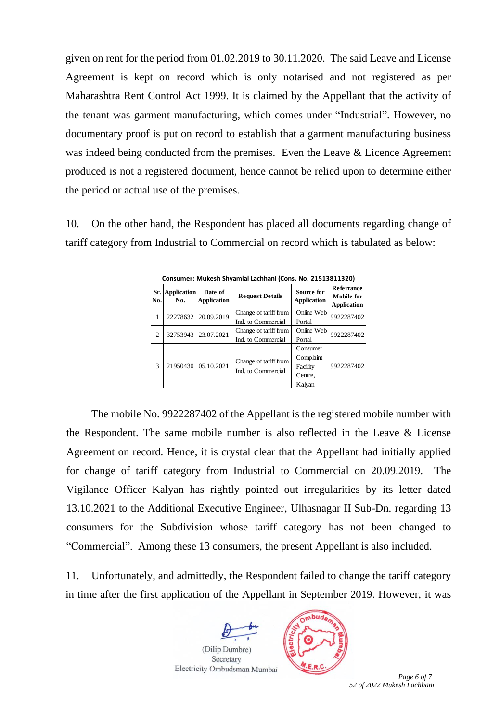given on rent for the period from 01.02.2019 to 30.11.2020. The said Leave and License Agreement is kept on record which is only notarised and not registered as per Maharashtra Rent Control Act 1999. It is claimed by the Appellant that the activity of the tenant was garment manufacturing, which comes under "Industrial". However, no documentary proof is put on record to establish that a garment manufacturing business was indeed being conducted from the premises. Even the Leave & Licence Agreement produced is not a registered document, hence cannot be relied upon to determine either the period or actual use of the premises.

10. On the other hand, the Respondent has placed all documents regarding change of tariff category from Industrial to Commercial on record which is tabulated as below:

| Consumer: Mukesh Shyamlal Lachhani (Cons. No. 21513811320) |                           |                               |                                             |                                  |                                                       |  |  |  |
|------------------------------------------------------------|---------------------------|-------------------------------|---------------------------------------------|----------------------------------|-------------------------------------------------------|--|--|--|
| Sr.<br>No.                                                 | <b>Application</b><br>No. | Date of<br><b>Application</b> | <b>Request Details</b>                      | Source for<br><b>Application</b> | <b>Referrance</b><br>Mobile for<br><b>Application</b> |  |  |  |
| ı.                                                         | 22278632                  | 20.09.2019                    | Change of tariff from                       | Online Web                       | 9922287402                                            |  |  |  |
|                                                            |                           |                               | Ind. to Commercial                          | Portal                           |                                                       |  |  |  |
| $\mathfrak{D}$                                             | 32753943                  | 23.07.2021                    | Change of tariff from                       | Online Web                       | 9922287402                                            |  |  |  |
|                                                            |                           |                               | Ind. to Commercial                          | Portal                           |                                                       |  |  |  |
| 3                                                          | 21950430                  | 05.10.2021                    | Change of tariff from<br>Ind. to Commercial | Consumer                         | 9922287402                                            |  |  |  |
|                                                            |                           |                               |                                             | Complaint                        |                                                       |  |  |  |
|                                                            |                           |                               |                                             | Facility                         |                                                       |  |  |  |
|                                                            |                           |                               |                                             | Centre.                          |                                                       |  |  |  |
|                                                            |                           |                               |                                             | Kalvan                           |                                                       |  |  |  |

The mobile No. 9922287402 of the Appellant is the registered mobile number with the Respondent. The same mobile number is also reflected in the Leave & License Agreement on record. Hence, it is crystal clear that the Appellant had initially applied for change of tariff category from Industrial to Commercial on 20.09.2019. The Vigilance Officer Kalyan has rightly pointed out irregularities by its letter dated 13.10.2021 to the Additional Executive Engineer, Ulhasnagar II Sub-Dn. regarding 13 consumers for the Subdivision whose tariff category has not been changed to "Commercial". Among these 13 consumers, the present Appellant is also included.

11. Unfortunately, and admittedly, the Respondent failed to change the tariff category in time after the first application of the Appellant in September 2019. However, it was



 *Page 6 of 7 52 of 2022 Mukesh Lachhani*